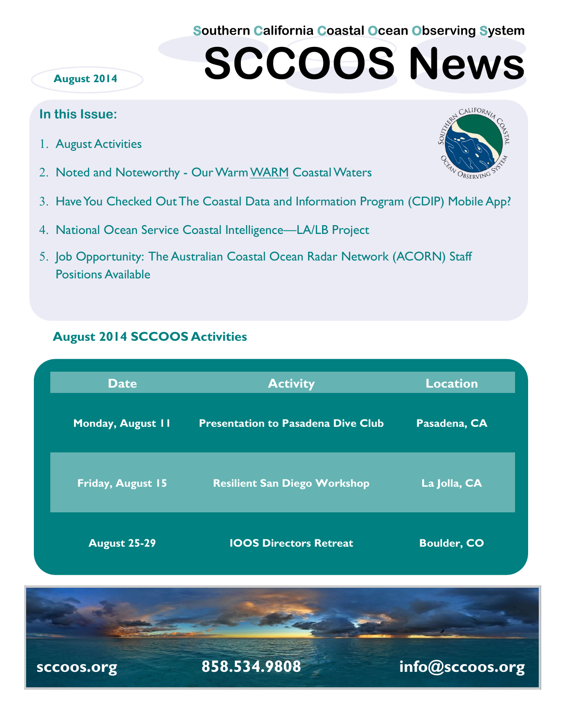**Southern California Coastal Ocean Observing System**

# **SCCOOS News**

#### **August 2014**

### **In this Issue:**

- 1. August Activities
- 2. Noted and Noteworthy Our Warm WARM Coastal Waters
- Have You Checked Out The Coastal Data and Information Program (CDIP) Mobile App?
- 4. National Ocean Service Coastal Intelligence—LA/LB Project
- 5. Job Opportunity: The Australian Coastal Ocean Radar Network (ACORN) Staff Positions Available

## **August 2014 SCCOOS Activities**

| <b>Date</b>         | <b>Activity</b>                           | <b>Location</b>    |
|---------------------|-------------------------------------------|--------------------|
| Monday, August II   | <b>Presentation to Pasadena Dive Club</b> | Pasadena, CA       |
| Friday, August 15   | <b>Resilient San Diego Workshop</b>       | La Jolla, CA       |
| <b>August 25-29</b> | <b>IOOS Directors Retreat</b>             | <b>Boulder, CO</b> |



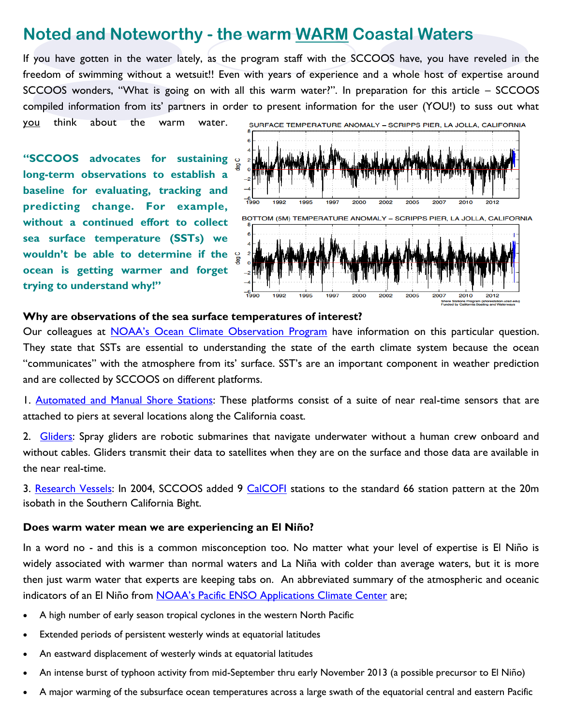# **Noted and Noteworthy - the warm WARM Coastal Waters**

If you have gotten in the water lately, as the program staff with the SCCOOS have, you have reveled in the freedom of swimming without a wetsuit!! Even with years of experience and a whole host of expertise around SCCOOS wonders, "What is going on with all this warm water?". In preparation for this article – SCCOOS compiled information from its' partners in order to present information for the user (YOU!) to suss out what

you think about the warm water.

**"SCCOOS advocates for sustaining long-term observations to establish a baseline for evaluating, tracking and predicting change. For example, without a continued effort to collect sea surface temperature (SSTs) we wouldn't be able to determine if the ocean is getting warmer and forget trying to understand why!"**



#### **Why are observations of the sea surface temperatures of interest?**

Our colleagues at **[NOAA's Ocean Climate Observation Program](http://www.oco.noaa.gov/seaSurfaceTempProduct.html)** have information on this particular question. They state that SSTs are essential to understanding the state of the earth climate system because the ocean "communicates" with the atmosphere from its' surface. SST's are an important component in weather prediction and are collected by SCCOOS on different platforms.

1. [Automated and Manual Shore Stations:](http://www.sccoos.org/data/autoshorestations/autoshorestations.php) These platforms consist of a suite of near real-time sensors that are attached to piers at several locations along the California coast.

2. [Gliders:](http://www.sccoos.org/data/spray/overview.php) Spray gliders are robotic submarines that navigate underwater without a human crew onboard and without cables. Gliders transmit their data to satellites when they are on the surface and those data are available in the near real-time.

3. [Research Vessels:](http://sccoos.ucsd.edu/data/cast/calcofi/) In 2004, SCCOOS added 9 [CalCOFI](http://www.calcofi.org/) stations to the standard 66 station pattern at the 20m isobath in the Southern California Bight.

#### **Does warm water mean we are experiencing an El Niño?**

In a word no - and this is a common misconception too. No matter what your level of expertise is El Niño is widely associated with warmer than normal waters and La Niña with colder than average waters, but it is more then just warm water that experts are keeping tabs on. An abbreviated summary of the atmospheric and oceanic indicators of an El Niño from [NOAA's Pacific ENSO Applications Climate Center](http://www.prh.noaa.gov/peac/update.php) are;

- A high number of early season tropical cyclones in the western North Pacific
- Extended periods of persistent westerly winds at equatorial latitudes
- An eastward displacement of westerly winds at equatorial latitudes
- An intense burst of typhoon activity from mid-September thru early November 2013 (a possible precursor to El Niño)
- A major warming of the subsurface ocean temperatures across a large swath of the equatorial central and eastern Pacific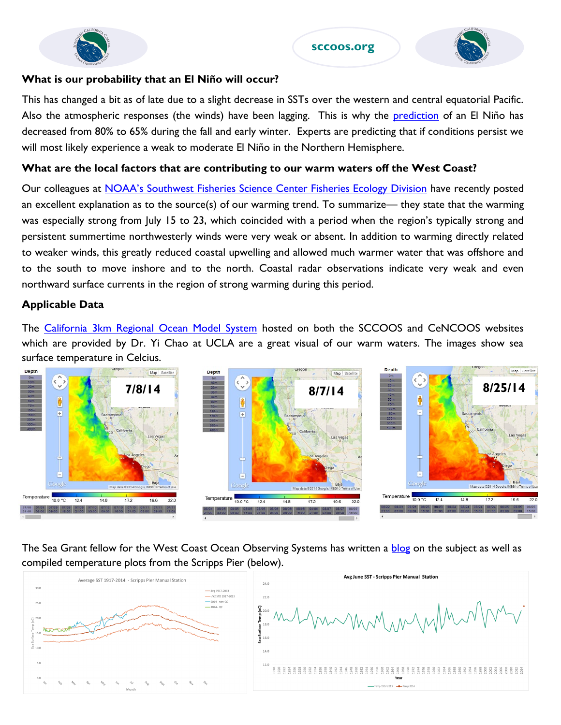

#### **sccoos.org**



#### **What is our probability that an El Niño will occur?**

This has changed a bit as of late due to a slight decrease in SSTs over the western and central equatorial Pacific. Also the atmospheric responses (the winds) have been lagging. This is why the **[prediction](http://www.cpc.ncep.noaa.gov/products/analysis_monitoring/enso_advisory/ensodisc.pdf)** of an El Niño has decreased from 80% to 65% during the fall and early winter. Experts are predicting that if conditions persist we will most likely experience a weak to moderate El Niño in the Northern Hemisphere.

#### **What are the local factors that are contributing to our warm waters off the West Coast?**

Our colleagues at [NOAA's Southwest Fisheries Science Center Fisheries Ecology Division](https://swfsc.noaa.gov/news.aspx?Division=FED&ParentMenuId=54&id=19435) have recently posted an excellent explanation as to the source(s) of our warming trend. To summarize— they state that the warming was especially strong from July 15 to 23, which coincided with a period when the region's typically strong and persistent summertime northwesterly winds were very weak or absent. In addition to warming directly related to weaker winds, this greatly reduced coastal upwelling and allowed much warmer water that was offshore and to the south to move inshore and to the north. Coastal radar observations indicate very weak and even northward surface currents in the region of strong warming during this period.

#### **Applicable Data**

The [California 3km Regional Ocean Model System](http://www.sccoos.org/data/roms-3km/) hosted on both the SCCOOS and CeNCOOS websites which are provided by Dr. Yi Chao at UCLA are a great visual of our warm waters. The images show sea surface temperature in Celcius.



The Sea Grant fellow for the West Coast Ocean Observing Systems has written a [blog](https://westcoastoceans.wordpress.com/2014/08/20/hot-summer-oceans/) on the subject as well as compiled temperature plots from the Scripps Pier (below).